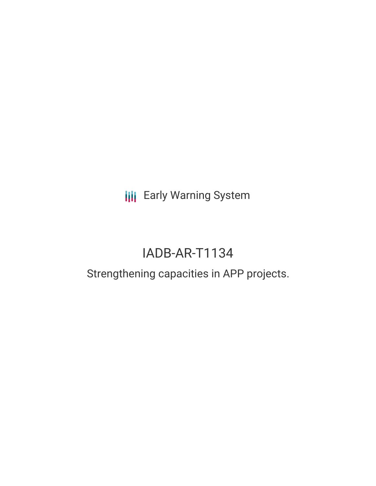**III** Early Warning System

## IADB-AR-T1134

## Strengthening capacities in APP projects.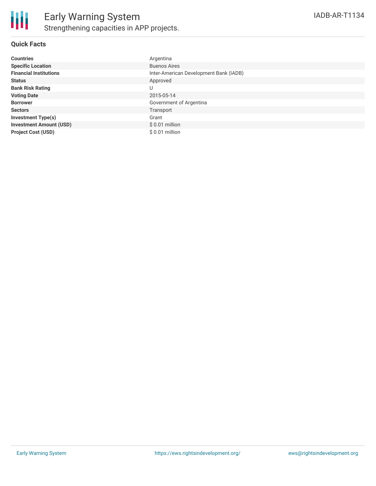

### **Quick Facts**

| <b>Countries</b>               | Argentina                              |
|--------------------------------|----------------------------------------|
| <b>Specific Location</b>       | <b>Buenos Aires</b>                    |
| <b>Financial Institutions</b>  | Inter-American Development Bank (IADB) |
| <b>Status</b>                  | Approved                               |
| <b>Bank Risk Rating</b>        | U                                      |
| <b>Voting Date</b>             | 2015-05-14                             |
| <b>Borrower</b>                | Government of Argentina                |
| <b>Sectors</b>                 | Transport                              |
| <b>Investment Type(s)</b>      | Grant                                  |
| <b>Investment Amount (USD)</b> | $$0.01$ million                        |
| <b>Project Cost (USD)</b>      | $$0.01$ million                        |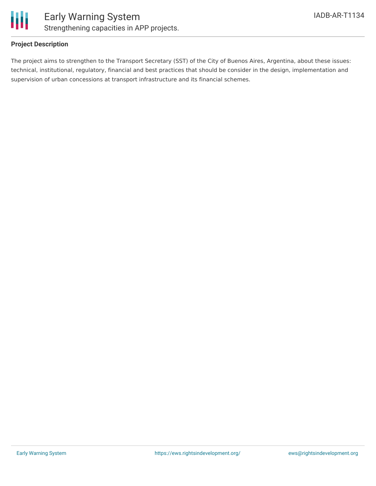

### **Project Description**

The project aims to strengthen to the Transport Secretary (SST) of the City of Buenos Aires, Argentina, about these issues: technical, institutional, regulatory, financial and best practices that should be consider in the design, implementation and supervision of urban concessions at transport infrastructure and its financial schemes.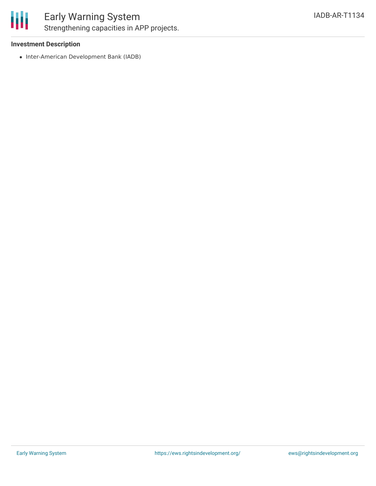

### Early Warning System Strengthening capacities in APP projects.

### **Investment Description**

• Inter-American Development Bank (IADB)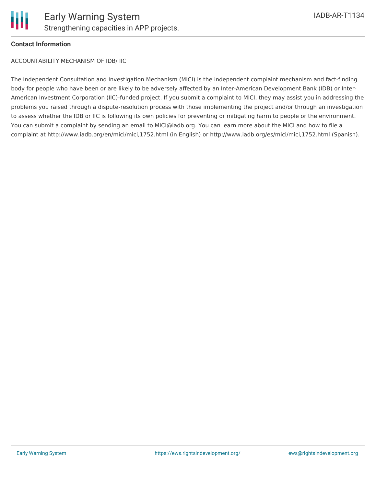

### **Contact Information**

ACCOUNTABILITY MECHANISM OF IDB/ IIC

The Independent Consultation and Investigation Mechanism (MICI) is the independent complaint mechanism and fact-finding body for people who have been or are likely to be adversely affected by an Inter-American Development Bank (IDB) or Inter-American Investment Corporation (IIC)-funded project. If you submit a complaint to MICI, they may assist you in addressing the problems you raised through a dispute-resolution process with those implementing the project and/or through an investigation to assess whether the IDB or IIC is following its own policies for preventing or mitigating harm to people or the environment. You can submit a complaint by sending an email to MICI@iadb.org. You can learn more about the MICI and how to file a complaint at http://www.iadb.org/en/mici/mici,1752.html (in English) or http://www.iadb.org/es/mici/mici,1752.html (Spanish).